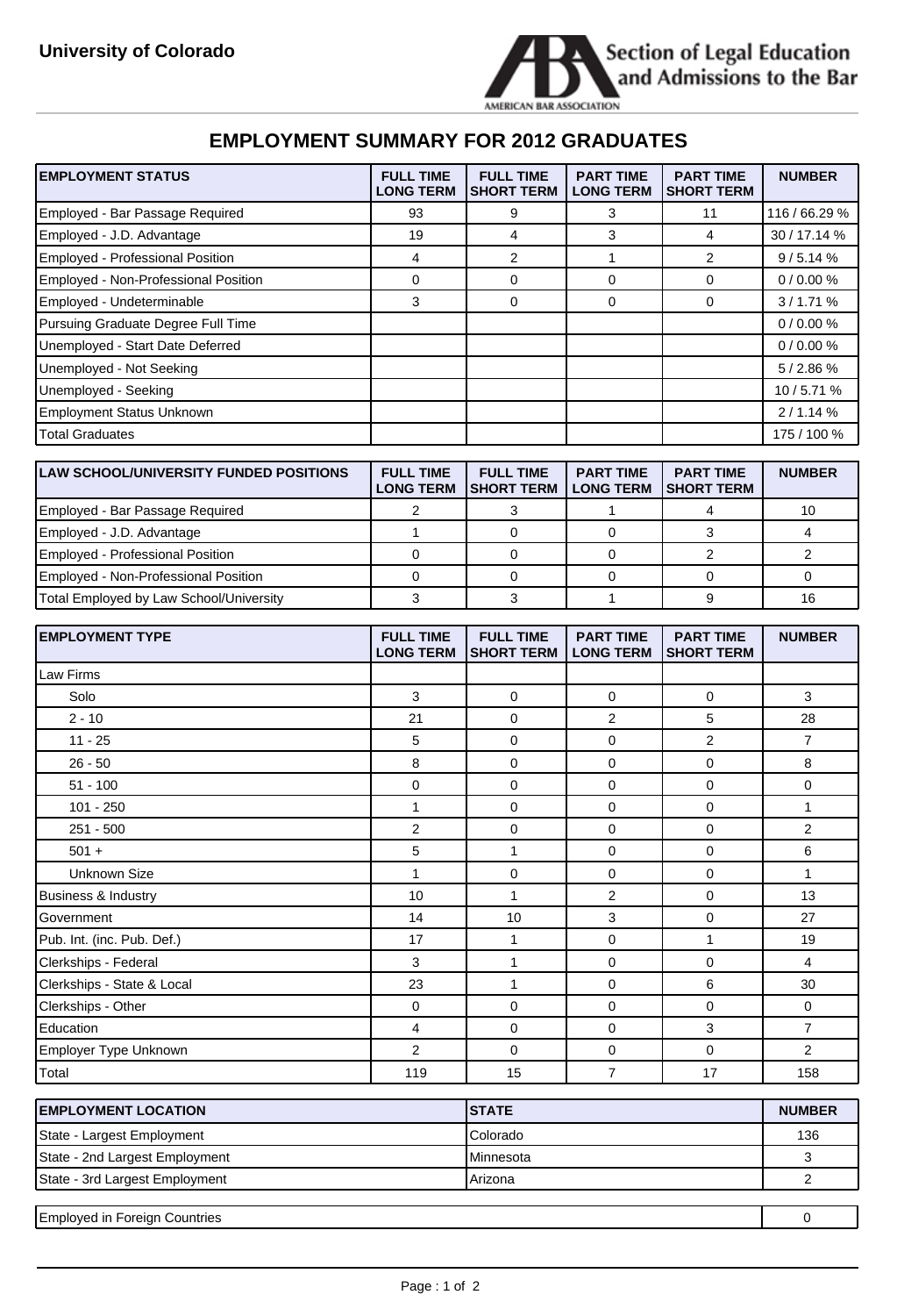

 $\overline{\phantom{a}}$ 

## **EMPLOYMENT SUMMARY FOR 2012 GRADUATES**

| <b>EMPLOYMENT STATUS</b>                      | <b>FULL TIME</b><br><b>LONG TERM</b> | <b>FULL TIME</b><br><b>SHORT TERM</b> | <b>PART TIME</b><br><b>LONG TERM</b>   | <b>PART TIME</b><br><b>SHORT TERM</b> | <b>NUMBER</b>  |
|-----------------------------------------------|--------------------------------------|---------------------------------------|----------------------------------------|---------------------------------------|----------------|
| Employed - Bar Passage Required               | 93                                   | 9                                     | 3                                      | 11                                    | 116 / 66.29 %  |
| Employed - J.D. Advantage                     | 19                                   | 4                                     | 3                                      | 4                                     | 30 / 17.14 %   |
| <b>Employed - Professional Position</b>       | $\overline{4}$                       | $\overline{\mathbf{c}}$               | 1                                      | 2                                     | 9/5.14%        |
| Employed - Non-Professional Position          | 0                                    | 0                                     | 0                                      | 0                                     | 0/0.00%        |
| Employed - Undeterminable                     | 3                                    | 0                                     | 0                                      | 0                                     | 3/1.71%        |
| Pursuing Graduate Degree Full Time            |                                      |                                       |                                        |                                       | 0/0.00%        |
| Unemployed - Start Date Deferred              |                                      |                                       |                                        |                                       | 0/0.00%        |
| Unemployed - Not Seeking                      |                                      |                                       |                                        |                                       | 5/2.86%        |
| Unemployed - Seeking                          |                                      |                                       |                                        |                                       | 10 / 5.71 %    |
| <b>Employment Status Unknown</b>              |                                      |                                       |                                        |                                       | 2/1.14%        |
| <b>Total Graduates</b>                        |                                      |                                       |                                        |                                       | 175 / 100 %    |
|                                               |                                      |                                       |                                        |                                       |                |
| <b>LAW SCHOOL/UNIVERSITY FUNDED POSITIONS</b> | <b>FULL TIME</b><br><b>LONG TERM</b> | <b>FULL TIME</b><br><b>SHORT TERM</b> | <b>PART TIME</b><br><b>LONG TERM</b>   | <b>PART TIME</b><br><b>SHORT TERM</b> | <b>NUMBER</b>  |
| Employed - Bar Passage Required               | 2                                    | 3                                     | 1                                      | 4                                     | 10             |
| Employed - J.D. Advantage                     | 1                                    | 0                                     | $\mathbf 0$                            | 3                                     | 4              |
| Employed - Professional Position              | $\mathbf 0$                          | $\mathbf 0$                           | 0                                      | 2                                     | 2              |
| Employed - Non-Professional Position          | 0                                    | 0                                     | 0                                      | 0                                     | $\mathbf 0$    |
| Total Employed by Law School/University       | 3                                    | 3                                     | 1                                      | 9                                     | 16             |
|                                               |                                      |                                       |                                        |                                       |                |
|                                               |                                      |                                       |                                        |                                       |                |
| <b>EMPLOYMENT TYPE</b>                        | <b>FULL TIME</b><br><b>LONG TERM</b> | <b>FULL TIME</b><br><b>SHORT TERM</b> | <b>PART TIME</b><br><b>LONG TERM</b>   | <b>PART TIME</b><br><b>SHORT TERM</b> | <b>NUMBER</b>  |
| Law Firms                                     |                                      |                                       |                                        |                                       |                |
| Solo                                          | 3                                    | 0                                     | 0                                      | 0                                     | 3              |
| $2 - 10$                                      | 21                                   | 0                                     | 2                                      | 5                                     | 28             |
| $11 - 25$                                     | 5                                    | 0                                     | 0                                      | 2                                     | $\overline{7}$ |
| $26 - 50$                                     | 8                                    | 0                                     | 0                                      | 0                                     | 8              |
| $51 - 100$                                    | 0                                    | 0                                     | $\mathbf 0$                            | 0                                     | 0              |
| $101 - 250$                                   | 1                                    | 0                                     | 0                                      | 0                                     | 1              |
| 251 - 500                                     | 2                                    | 0                                     | 0                                      | 0                                     | 2              |
| $501 +$                                       | 5                                    | 1                                     | 0                                      | 0                                     | 6              |
| <b>Unknown Size</b>                           | 1                                    | 0                                     | 0                                      | 0                                     | 1              |
| <b>Business &amp; Industry</b>                | 10                                   | $\mathbf{1}$                          | 2                                      | 0                                     | 13             |
| Government                                    | 14                                   | 10                                    | 3                                      | 0                                     | 27             |
| Pub. Int. (inc. Pub. Def.)                    | 17                                   | $\mathbf{1}$                          | 0                                      | $\mathbf{1}$                          | 19             |
| Clerkships - Federal                          | 3                                    | $\mathbf{1}$                          | $\pmb{0}$                              | 0                                     | $\overline{4}$ |
| Clerkships - State & Local                    | 23                                   | $\mathbf{1}$                          | $\pmb{0}$                              | 6                                     | 30             |
| Clerkships - Other                            | $\pmb{0}$                            | 0                                     | $\mathsf 0$                            | 0                                     | $\mathsf 0$    |
| Education                                     | 4                                    | $\mathbf 0$                           | $\pmb{0}$                              | 3                                     | $\overline{7}$ |
| Employer Type Unknown                         | $\overline{2}$                       | $\mathbf 0$                           | $\mathbf 0$<br>$\overline{\mathbf{7}}$ | 0                                     | $\overline{2}$ |

| <b>IEMPLOYMENT LOCATION</b>    | <b>ISTATE</b> | <b>NUMBER</b> |
|--------------------------------|---------------|---------------|
| State - Largest Employment     | Colorado      | 136           |
| State - 2nd Largest Employment | Minnesota     |               |
| State - 3rd Largest Employment | Arizona       |               |
|                                |               |               |

| <b>Employed</b> in<br>Foreign Countries |  |  |
|-----------------------------------------|--|--|
|                                         |  |  |